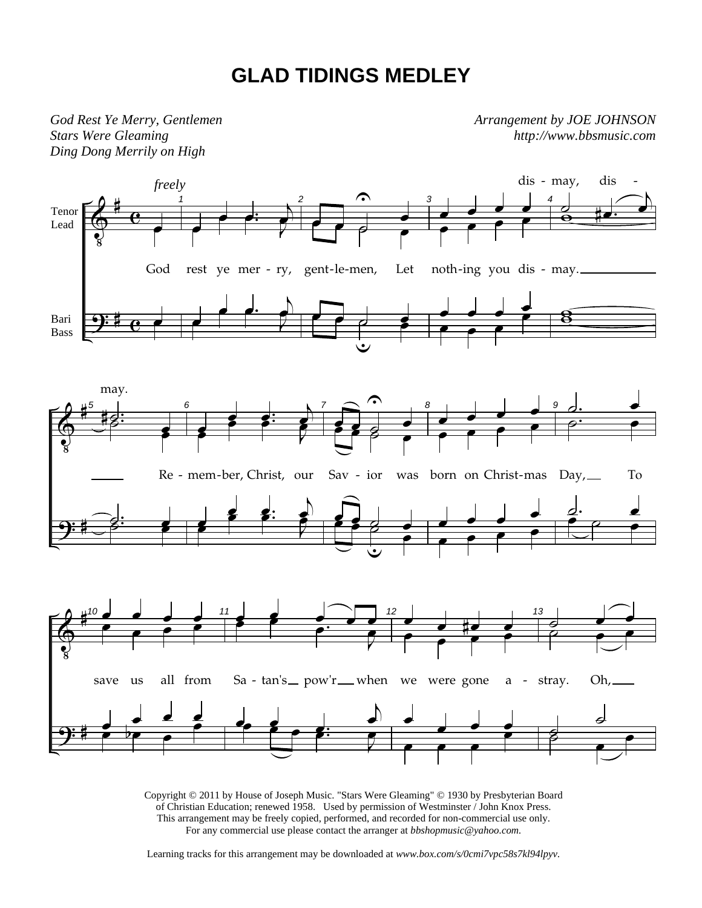## **GLAD TIDINGS MEDLEY**

*God Rest Ye Merry, Gentlemen Stars Were Gleaming Ding Dong Merrily on High* 

*Arrangement by JOE JOHNSON http://www.bbsmusic.com*



Copyright © 2011 by House of Joseph Music. "Stars Were Gleaming" © 1930 by Presbyterian Board of Christian Education; renewed 1958. Used by permission of Westminster / John Knox Press. This arrangement may be freely copied, performed, and recorded for non-commercial use only. For any commercial use please contact the arranger at *bbshopmusic@yahoo.com.*

Learning tracks for this arrangement may be downloaded at *www.box.com/s/0cmi7vpc58s7kl94lpyv.*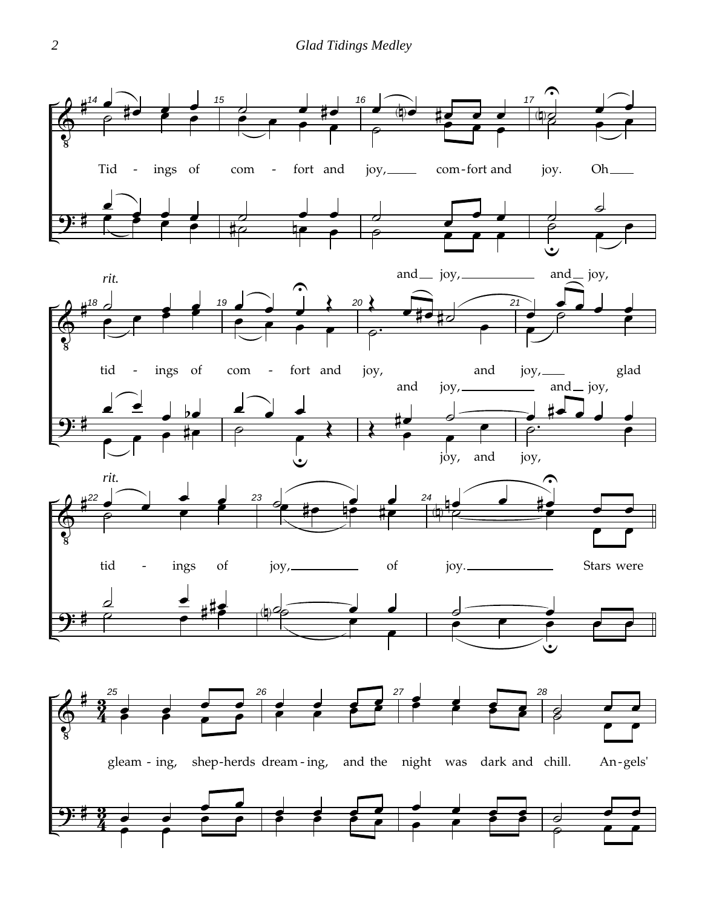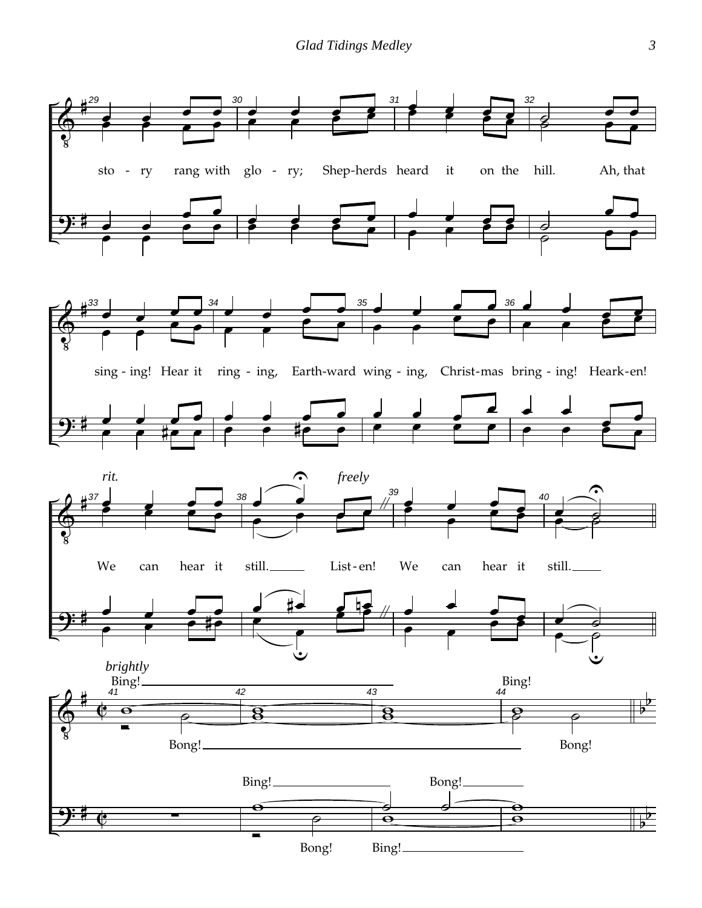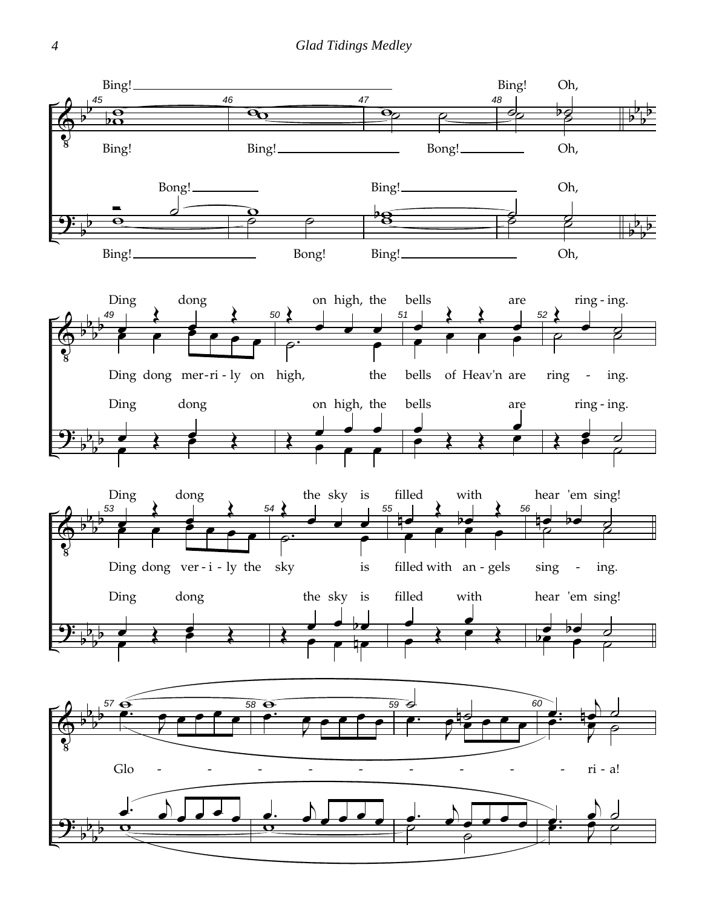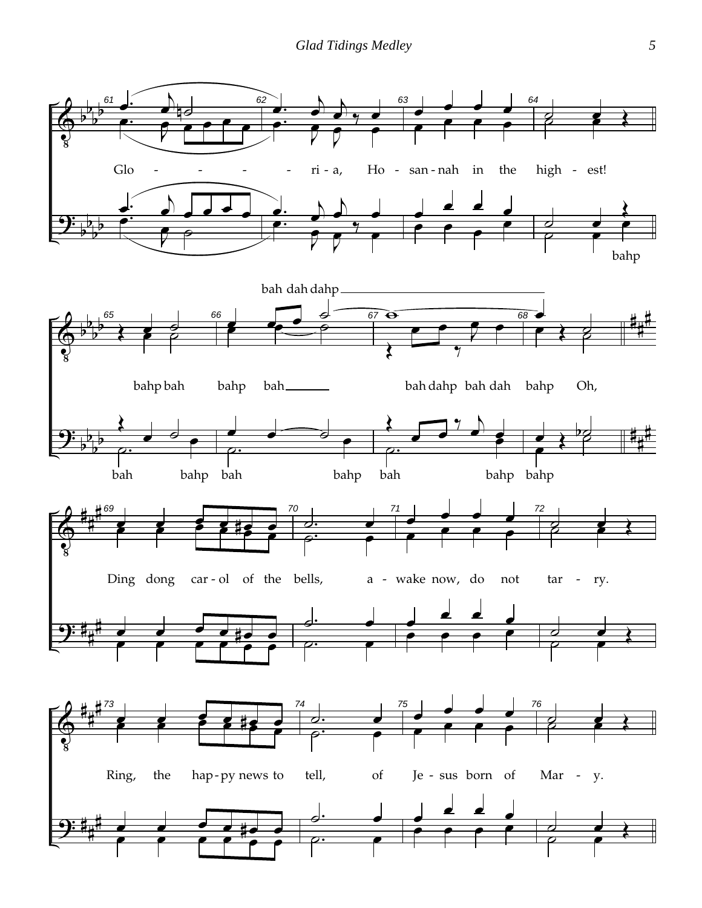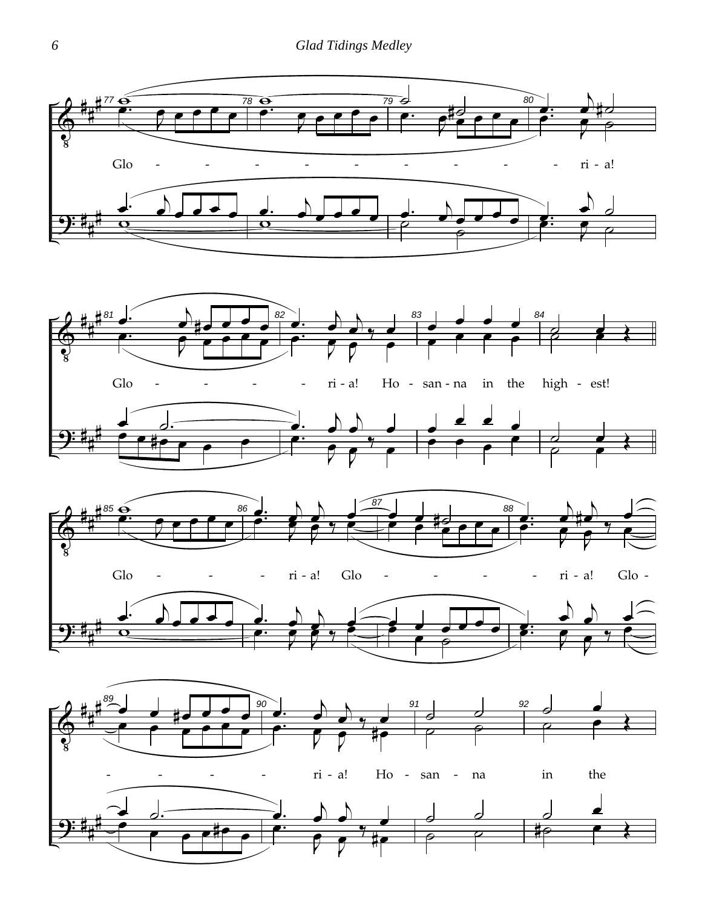